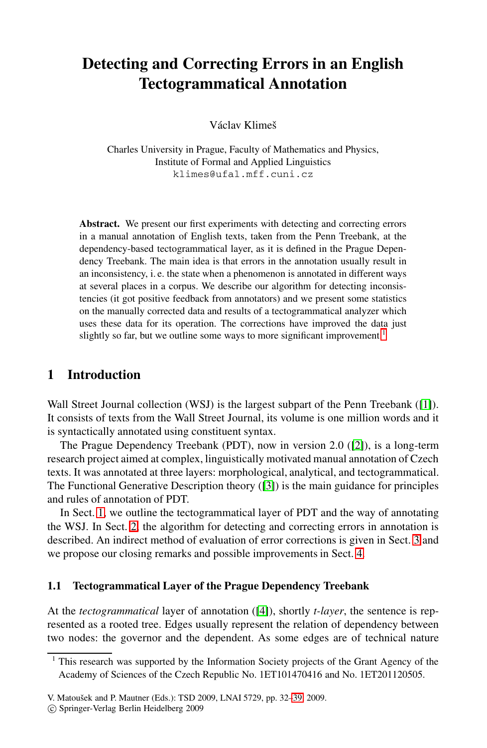# **Detecting and Correcting Errors in an English Tectogrammatical Annotation**

Václav Klimeš

Charles University in Prague, Faculty of Mathematics and Physics, Institute of Formal and Applied Linguistics klimes@ufal.mff.cuni.cz

**Abstract.** We present our first experiments with d[et](#page-0-0)ecting and correcting errors in a manual annotation of English texts, taken from the Penn Treebank, at the dependency-based tectogrammatical layer, as it is defined in the Prague Dependency Treebank. The main idea is that errors in the annotation usually result in an inconsistency, i. e. the state when a phenomenon is annotated in different ways at several places in a corpus. We describe our algorithm for detecting inconsistencies (it got positive feedback from annotators) and we pre[sen](#page-7-0)t some statistics on the manually corrected data and results of a tectogrammatical analyzer which uses these data for its operation. The corrections have improved the data just slightly so far, but we outline some ways to [mo](#page-7-1)re significant improvement.<sup>1</sup>

# **1 Introduction**

Wall Street Journal collection (WSJ) is the largest subpart of the Penn Treebank ([1]). It consists of texts from the Wall Street Journal, its volume is one million words and it is syntactically annotated using constituent syntax.

The Prague Dependency Treebank (PDT), [now](#page-6-0) in versi[on](#page-5-0) 2.0 ([2]), is a long-term research project aimed at complex, linguistically motivated manual annotation of Czech texts. It was annotated at three layers: morphological, analytical, and tectogrammatical. The Functional Generative Description theory ([3]) is the main guidance for principles and rules of annotation of [PD](#page-7-2)T.

In Sect. 1, we outline the tectogrammatical layer of PDT and the way of annotating the WSJ. In Sect. 2, the algorithm for detecting and correcting errors in annotation is described. An indirect method of evaluation of error corrections is given in Sect. 3 and we propose our closing remarks and possible improvements in Sect. 4.

#### <span id="page-0-0"></span>**1.1 Tectogrammatical Layer [of t](#page-7-3)he Prague Dependency Treebank**

At the *tectogrammatical* layer of annotation ([4]), shortly *t-layer*, the sentence is represented as a rooted tree. Edges usually represent the relation of dependency between two nodes: the governor and the dependent. As some edges are of technical nature

<sup>1</sup> This research was supported by the Information Society projects of the Grant Agency of the Academy of Sciences of the Czech Republic No. 1ET101470416 and No. 1ET201120505.

V. Matouˇsek and P. Mautner (Eds.): TSD 2009, LNAI 5729, pp. 32–39, 2009.

<sup>-</sup>c Springer-Verlag Berlin Heidelberg 2009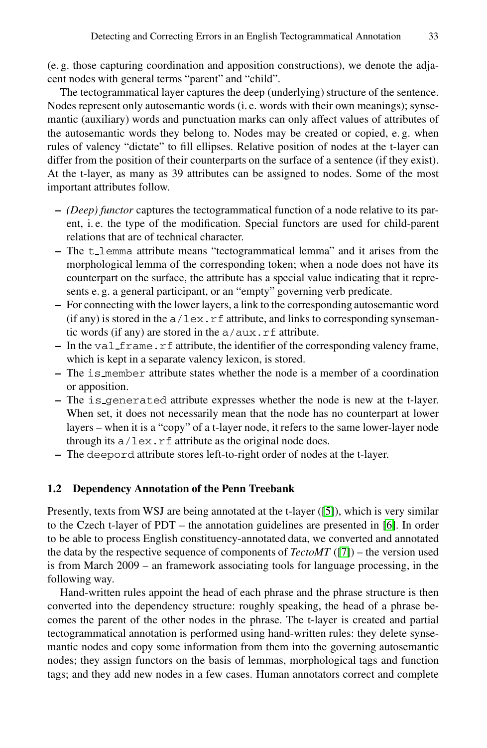(e. g. those capturing coordination and apposition constructions), we denote the adjacent nodes with general terms "parent" and "child".

The tectogrammatical layer captures the deep (underlying) structure of the sentence. Nodes represent only autosemantic words (i. e. words with their own meanings); synsemantic (auxiliary) words and punctuation marks can only affect values of attributes of the autosemantic words they belong to. Nodes may be created or copied, e. g. when rules of valency "dictate" to fill ellipses. Relative position of nodes at the t-layer can differ from the position of their counterparts on the surface of a sentence (if they exist). At the t-layer, as many as 39 attributes can be assigned to nodes. Some of the most important attributes follow.

- **–** *(Deep) functor* captures the tectogrammatical function of a node relative to its parent, i. e. the type of the modification. Special functors are used for child-parent relations that are of technical character.
- **–** The t lemma attribute means "tectogrammatical lemma" and it arises from the morphological lemma of the corresponding token; when a node does not have its counterpart on the surface, the attribute has a special value indicating that it represents e. g. a general participant, or an "empty" governing verb predicate.
- **–** For connecting with the lower layers, a link to the corresponding autosemantic word (if any) is stored in the  $a/lex$ . r f attribute, and links to corresponding synsemantic words (if any) are stored in the  $a/aux$ .rf attribute.
- **–** In the val frame.rf attribute, the identifier of the corresponding valency frame, which is kept in a separate valency lexicon, is stored.
- <span id="page-1-0"></span>**–** The is member attribute states whether the node is a member of a coordination or apposition.
- **–** The is generated attribute exp[res](#page-7-4)ses whether the node is new at the t-layer. When set, it does not necessarily mean that the [nod](#page-7-5)e has no counterpart at lower layers – when it is a "copy" of a t-layer node, it refers to the same lower-layer node through its  $a/$ lex.rf attribute as the [ori](#page-7-6)ginal node does.
- **–** The deepord attribute stores left-to-right order of nodes at the t-layer.

#### **1.2 Dependency Annotation of the Penn Treebank**

Presently, texts from WSJ are being annotated at the t-layer ([5]), which is very similar to the Czech t-layer of PDT – the annotation guidelines are presented in [6]. In order to be able to process English constituency-annotated data, we converted and annotated the data by the respective sequence of components of *TectoMT* ([7]) – the version used is from March 2009 – an framework associating tools for language processing, in the following way.

Hand-written rules appoint the head of each phrase and the phrase structure is then converted into the dependency structure: roughly speaking, the head of a phrase becomes the parent of the other nodes in the phrase. The t-layer is created and partial tectogrammatical annotation is performed using hand-written rules: they delete synsemantic nodes and copy some information from them into the governing autosemantic nodes; they assign functors on the basis of lemmas, morphological tags and function tags; and they add new nodes in a few cases. Human annotators correct and complete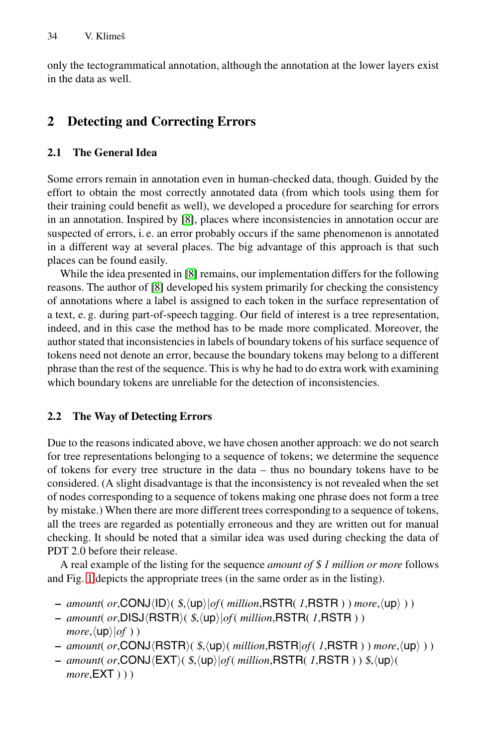#### 34 V. Klimeš

only the tectogrammatical annotation, although the annotation at the lower layers exist in the data as well.

# **2 Det[ec](#page-7-7)ting and Correcting Errors**

#### **2.1 The General Idea**

So[me](#page-7-7) err[ors](#page-7-7) remain in annotation even in human-checked data, though. Guided by the effort to obtain the most correctly annotated data (from which tools using them for their training could benefit as well), we developed a procedure for searching for errors in an annotation. Inspired by [8], places where inconsistencies in annotation occur are suspected of errors, i. e. an error probably occurs if the same phenomenon is annotated in a different way at several places. The big advantage of this approach is that such places can be found easily.

While the idea presented in [8] remains, our implementation differs for the following reasons. The author of [8] developed his system primarily for checking the consistency of annotations where a label is assigned to each token in the surface representation of a text, e. g. during part-of-speech tagging. Our field of interest is a tree representation, indeed, and in this case the method has to be made more complicated. Moreover, the author stated that inconsistencies in labels of boundary tokens of his surface sequence of tokens need not denote an error, because the boundary tokens may belong to a different phrase than the rest of the sequence. This is why he had to do extra work with examining which boundary tokens are unreliable for the detection of inconsistencies.

#### **2.2 The Way of Detecting Errors**

Due to the reasons indicated above, we have chosen another approach: we do not search for tree representations belonging to a sequence of tokens; we determine the sequence of tokens for every tree structure in the data – thus no boundary tokens have to be considered. (A slight disadvantage is that the inconsistency is not revealed when the set of nodes corresponding to a sequence of tokens making one phrase does not form a tree by mistake.) When there are more different trees corresponding to a sequence of tokens, all the trees are regarded as potentially erroneous and they are written out for manual checking. It should be noted that a similar idea was used during checking the data of PDT 2.0 before their release.

A real example of the listing for the sequence *amount of* \$ *1 million or more* follows and Fig. 1 depicts the appropriate trees (in the same order as in the listing).

- $-$  *amount*( *or*,CONJ\<sub></sub>(ID)\( \$,\up\|*of*( *million*,RSTR( *1*,RSTR ) ) *more*,\up\ ) )
- $-$  amount( or,DISJ $\langle$ RSTR $\rangle$ (  $\hat{s}$ , $\langle$ up $\rangle$ |of( million,RSTR( *1*,RSTR))  $more, \langle \textsf{up} \rangle | of$  ) )
- $-$  *amount*( *or*,CONJ $\langle$ RSTR $\rangle$ (  $\hat{s}$ , $\langle$ up $\rangle$ ( *million*,RSTR $|of($  *l*,RSTR  $)$  ) *more*, $\langle$ up $\rangle$  )  $\rangle$
- *amount*( *or*,CONJ\{EXT)\( \$,\up\|*of*( *million*,RSTR( *1*,RSTR ) ) \$,\up\( *more*,EXT )))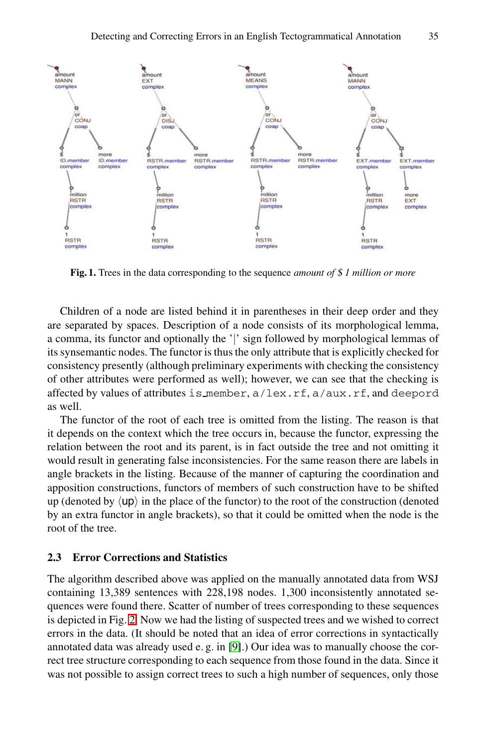

**Fig. 1.** Trees in the data corresponding to the sequence *amount of* \$ *1 million or more*

Children of a node are listed behind it in parentheses in their deep order and they are separated by spaces. Description of a node consists of its morphological lemma, a comma, its functor and optionally the '|' sign followed by morphological lemmas of its synsemantic nodes. The functor is thus the only attribute that is explicitly checked for consistency presently (although preliminary experiments with checking the consistency of other attributes were performed as well); however, we can see that the checking is affected by values of attributes is member, a/lex.rf, a/aux.rf, and deepord as well.

The functor of the root of each tree is omitted from the listing. The reason is that it depends on the context which the tree occurs in, because the functor, expressing the relation between the root and its parent, is in fact outside the tree and not omitting it would result in generating false inconsistencies. For the same reason there are labels in angle brackets in the listing. Because of the manner of capturing the coordination and apposition constructions, functors of members of such construction have to be shifted up (denoted by  $\langle$ up) in the place of the functor) to the root of the construction (denoted by an extra functor in angle brackets), so that it could be omitted when the node is the root of the tree.

# **2.3 Error Corrections and Statistics**

The algorithm described above was applied on the manually annotated data from WSJ containing 13,389 sentences with 228,198 nodes. 1,300 inconsistently annotated sequences were found there. Scatter of number of trees corresponding to these sequences is depicted in Fig. 2. Now we had the listing of suspected trees and we wished to correct errors in the data. (It should be noted that an idea of error corrections in syntactically annotated data was already used e. g. in [9].) Our idea was to manually choose the correct tree structure corresponding to each sequence from those found in the data. Since it was not possible to assign correct trees to such a high number of sequences, only those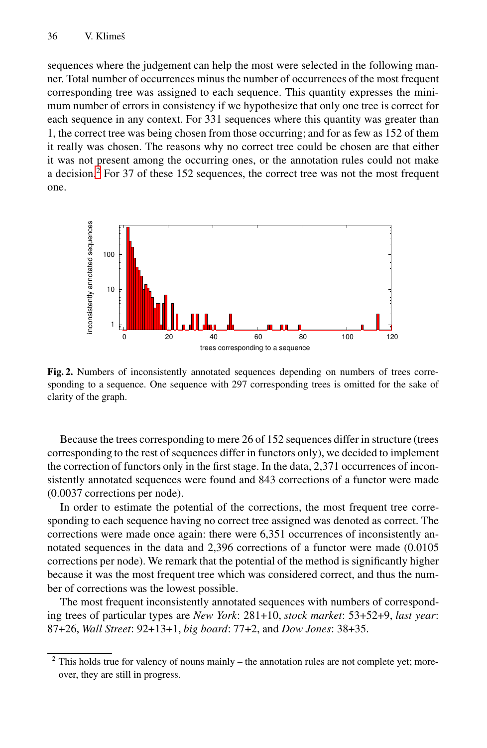#### 36 V. Klimeš

sequences where the judgement can help the most were selected in the following manner. Total number of occurrences minus the number of occurrences of the most frequent corresponding tree was assigned to each sequence. This quantity expresses the minimum number of errors in consistency if we hypothesize that only one tree is correct for each sequence in any context. For 331 sequences where this quantity was greater than 1, the correct tree was being chosen from those occurring; and for as few as 152 of them it really was chosen. The reasons why no correct tree could be chosen are that either it was not present among the occurring ones, or the annotation rules could not make a decision.<sup>2</sup> For 37 of these 152 sequences, the correct tree was not the most frequent one.



**Fig. 2.** Numbers of inconsistently annotated sequences depending on numbers of trees corresponding to a sequence. One sequence with 297 corresponding trees is omitted for the sake of clarity of the graph.

Because the trees corresponding to mere 26 of 152 sequences differ in structure (trees corresponding to the rest of sequences differ in functors only), we decided to implement the correction of functors only in the first stage. In the data, 2,371 occurrences of inconsistently annotated sequences were found and 843 corrections of a functor were made (0.0037 corrections per node).

In order to estimate the potential of the corrections, the most frequent tree corresponding to each sequence having no correct tree assigned was denoted as correct. The corrections were made once again: there were 6,351 occurrences of inconsistently annotated sequences in the data and 2,396 corrections of a functor were made (0.0105 corrections per node). We remark that the potential of the method is significantly higher because it was the most frequent tree which was considered correct, and thus the number of corrections was the lowest possible.

The most frequent inconsistently annotated sequences with numbers of corresponding trees of particular types are *New York*: 281+10, *stock market*: 53+52+9, *last year*: 87+26, *Wall Street*: 92+13+1, *big board*: 77+2, and *Dow Jones*: 38+35.

 $2$  This holds true for valency of nouns mainly – the annotation rules are not complete yet; moreover, they are still in progress.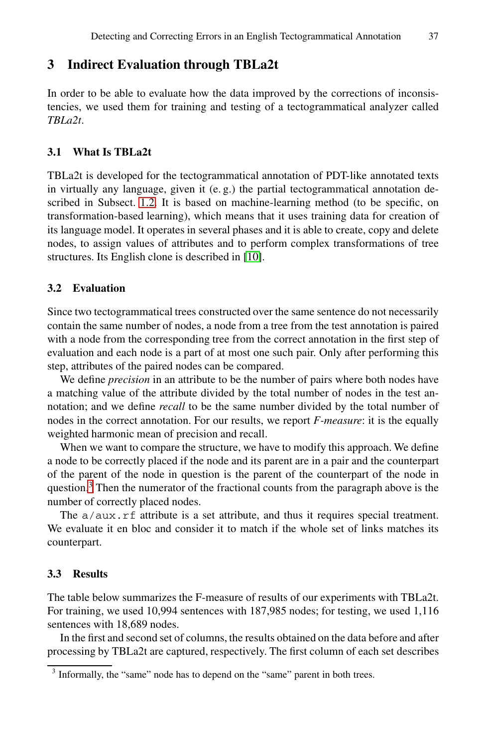# <span id="page-5-0"></span>**3 Indirect Evaluation through TBLa2t**

[In o](#page-1-0)rder to be able to evaluate how the data improved by the corrections of inconsistencies, we used them for training and testing of a tectogrammatical analyzer called *TBLa2t*.

# **3.1 What Is TBLa2t**

TBLa2t is developed for the tectogrammatical annotation of PDT-like annotated texts in virtually any language, given it (e. g.) the partial tectogrammatical annotation described in Subsect. 1.2. It is based on machine-learning method (to be specific, on transformation-based learning), which means that it uses training data for creation of its language model. It operates in several phases and it is able to create, copy and delete nodes, to assign values of attributes and to perform complex transformations of tree structures. Its English clone is described in [10].

# **3.2 Evaluation**

Since two tectogrammatical trees constructed over the same sentence do not necessarily contain the same number of nodes, a node from a tree from the test annotation is paired with a node from the corresponding tree from the correct annotation in the first step of evaluation and each node is a part of at most one such pair. Only after performing this step, attributes of the paired nodes can be compared.

We define *precision* in an attribute to be the number of pairs where both nodes have a matching value of the attribute divided by the total number of nodes in the test annotation; and we define *recall* to be the same number divided by the total number of nodes in the correct annotation. For our results, we report *F-measure*: it is the equally weighted harmonic mean of precision and recall.

When we want to compare the structure, we have to modify this approach. We define a node to be correctly placed if the node and its parent are in a pair and the counterpart of the parent of the node in question is the parent of the counterpart of the node in question.<sup>3</sup> Then the numerator of the fractional counts from the paragraph above is the number of correctly placed nodes.

The  $a/aux.$ rf attribute is a set attribute, and thus it requires special treatment. We evaluate it en bloc and consider it to match if the whole set of links matches its counterpart.

# **3.3 Results**

The table below summarizes the F-measure of results of our experiments with TBLa2t. For training, we used 10,994 sentences with 187,985 nodes; for testing, we used 1,116 sentences with 18,689 nodes.

In the first and second set of columns, the results obtained on the data before and after processing by TBLa2t are captured, respectively. The first column of each set describes

<sup>&</sup>lt;sup>3</sup> Informally, the "same" node has to depend on the "same" parent in both trees.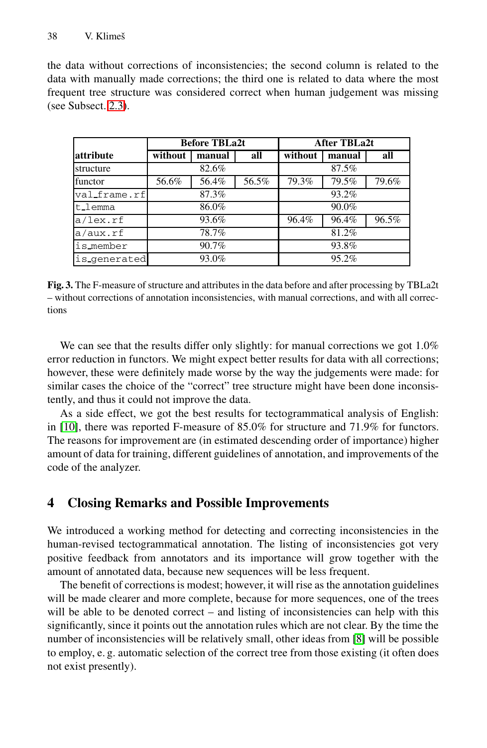#### 38 V. Klimeš

the data without corrections of inconsistencies; the second column is related to the data with manually made corrections; the third one is related to data where the most frequent tree structure was considered correct when human judgement was missing (see Subsect. 2.3).

|              | <b>Before TBLa2t</b> |        |       | <b>After TBLa2t</b> |        |       |
|--------------|----------------------|--------|-------|---------------------|--------|-------|
| attribute    | without              | manual | all   | without             | manual | all   |
| structure    |                      | 82.6%  |       |                     | 87.5%  |       |
| functor      | 56.6%                | 56.4%  | 56.5% | 79.3%               | 79.5%  | 79.6% |
| val_frame.rf |                      | 87.3%  |       |                     | 93.2%  |       |
| t_lemma      | 86.0%                |        |       | 90.0%               |        |       |
| a/lex.rf     | 93.6%                |        |       | 96.4%               | 96.4%  | 96.5% |
| a/aux.rf     | 78.7%                |        |       | 81.2%               |        |       |
| is member    | $90.7\%$             |        |       | 93.8%               |        |       |
| is_generated | 93.0%                |        |       | 95.2%               |        |       |

**Fig. 3.** The F-measure of structure and attributes in the data before and after processing by TBLa2t – without corrections of annotation inconsistencies, with manual corrections, and with all corrections

We can see that the results differ only slightly: for manual corrections we got 1.0% error reduction in functors. We might expect better results for data with all corrections; however, these were definitely made worse by the way the judgements were made: for similar cases the choice of the "correct" tree structure might have been done inconsistently, and thus it could not improve the data.

<span id="page-6-0"></span>As a side effect, we got the best results for tectogrammatical analysis of English: in [10], there was reported F-measure of 85.0% for structure and 71.9% for functors. The reasons for improvement are (in estimated descending order of importance) higher amount of data for training, different guidelines of annotation, and improvements of the code of the analyzer.

# **4 Closing Remarks and Possible Improvements**

We introduced a working method for detectin[g a](#page-7-7)nd correcting inconsistencies in the human-revised tectogrammatical annotation. The listing of inconsistencies got very positive feedback from annotators and its importance will grow together with the amount of annotated data, because new sequences will be less frequent.

The benefit of corrections is modest; however, it will rise as the annotation guidelines will be made clearer and more complete, because for more sequences, one of the trees will be able to be denoted correct – and listing of inconsistencies can help with this significantly, since it points out the annotation rules which are not clear. By the time the number of inconsistencies will be relatively small, other ideas from [8] will be possible to employ, e. g. automatic selection of the correct tree from those existing (it often does not exist presently).